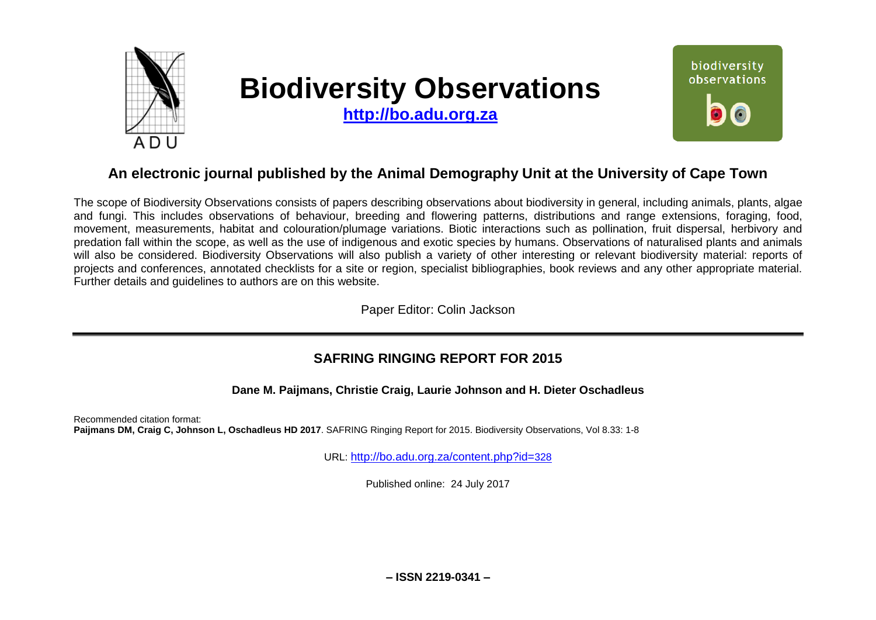

# **Biodiversity Observations**

**[http://bo.adu.org.za](http://bo.adu.org.za/)**



## **An electronic journal published by the Animal Demography Unit at the University of Cape Town**

The scope of Biodiversity Observations consists of papers describing observations about biodiversity in general, including animals, plants, algae and fungi. This includes observations of behaviour, breeding and flowering patterns, distributions and range extensions, foraging, food, movement, measurements, habitat and colouration/plumage variations. Biotic interactions such as pollination, fruit dispersal, herbivory and predation fall within the scope, as well as the use of indigenous and exotic species by humans. Observations of naturalised plants and animals will also be considered. Biodiversity Observations will also publish a variety of other interesting or relevant biodiversity material: reports of projects and conferences, annotated checklists for a site or region, specialist bibliographies, book reviews and any other appropriate material. Further details and guidelines to authors are on this website.

Paper Editor: Colin Jackson

### **SAFRING RINGING REPORT FOR 2015**

**Dane M. Paijmans, Christie Craig, Laurie Johnson and H. Dieter Oschadleus**

Recommended citation format: **Paijmans DM, Craig C, Johnson L, Oschadleus HD 2017**. SAFRING Ringing Report for 2015. Biodiversity Observations, Vol 8.33: 1-8

URL: [http://bo.adu.org.za/content.php?id=](http://bo.adu.org.za/content.php?id=328)328

Published online: 24 July 2017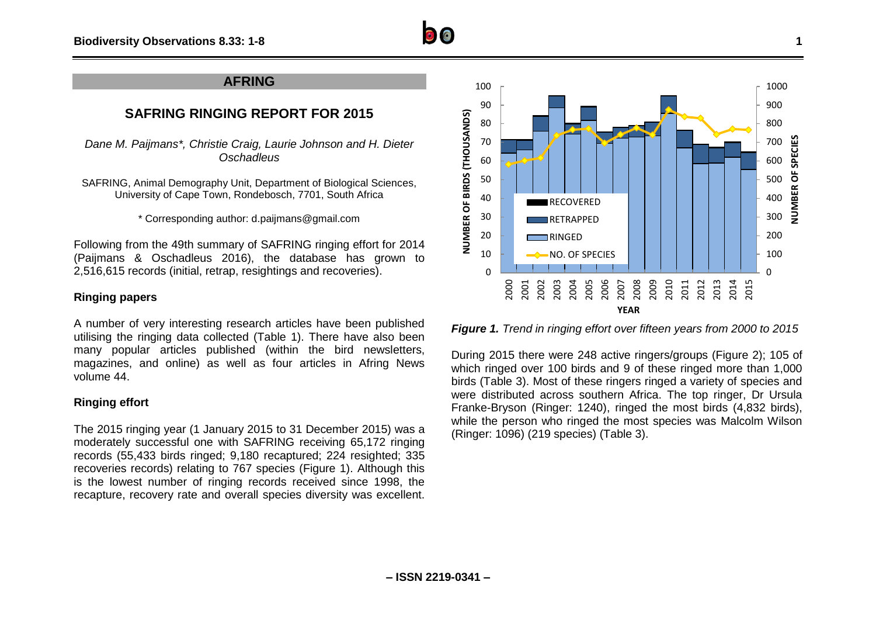

## **SAFRING RINGING REPORT FOR 2015**

*Dane M. Paijmans\*, Christie Craig, Laurie Johnson and H. Dieter Oschadleus*

SAFRING, Animal Demography Unit, Department of Biological Sciences, University of Cape Town, Rondebosch, 7701, South Africa

\* Corresponding author: d.paijmans@gmail.com

Following from the 49th summary of SAFRING ringing effort for 2014 (Paijmans & Oschadleus 2016), the database has grown to 2,516,615 records (initial, retrap, resightings and recoveries).

#### **Ringing papers**

A number of very interesting research articles have been published utilising the ringing data collected (Table 1). There have also been many popular articles published (within the bird newsletters, magazines, and online) as well as four articles in Afring News volume 44.

#### **Ringing effort**

The 2015 ringing year (1 January 2015 to 31 December 2015) was a moderately successful one with SAFRING receiving 65,172 ringing records (55,433 birds ringed; 9,180 recaptured; 224 resighted; 335 recoveries records) relating to 767 species (Figure 1). Although this is the lowest number of ringing records received since 1998, the recapture, recovery rate and overall species diversity was excellent.



*Figure 1. Trend in ringing effort over fifteen years from 2000 to 2015*

During 2015 there were 248 active ringers/groups (Figure 2); 105 of which ringed over 100 birds and 9 of these ringed more than 1,000 birds (Table 3). Most of these ringers ringed a variety of species and were distributed across southern Africa. The top ringer, Dr Ursula Franke-Bryson (Ringer: 1240), ringed the most birds (4,832 birds), while the person who ringed the most species was Malcolm Wilson (Ringer: 1096) (219 species) (Table 3).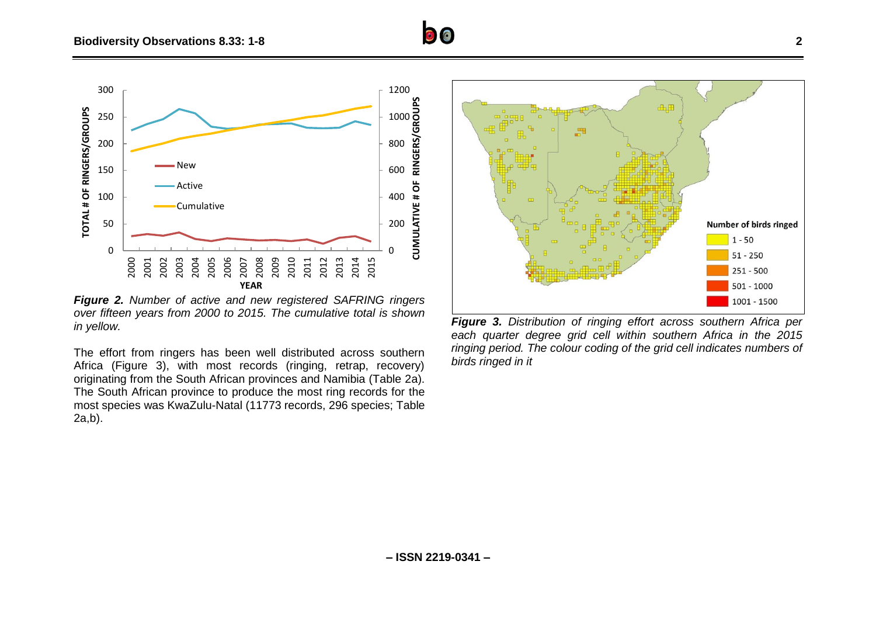

*Figure 2. Number of active and new registered SAFRING ringers over fifteen years from 2000 to 2015. The cumulative total is shown in yellow.*

The effort from ringers has been well distributed across southern Africa (Figure 3), with most records (ringing, retrap, recovery) originating from the South African provinces and Namibia (Table 2a). The South African province to produce the most ring records for the most species was KwaZulu-Natal (11773 records, 296 species; Table 2a,b).



*Figure 3. Distribution of ringing effort across southern Africa per each quarter degree grid cell within southern Africa in the 2015 ringing period. The colour coding of the grid cell indicates numbers of birds ringed in it*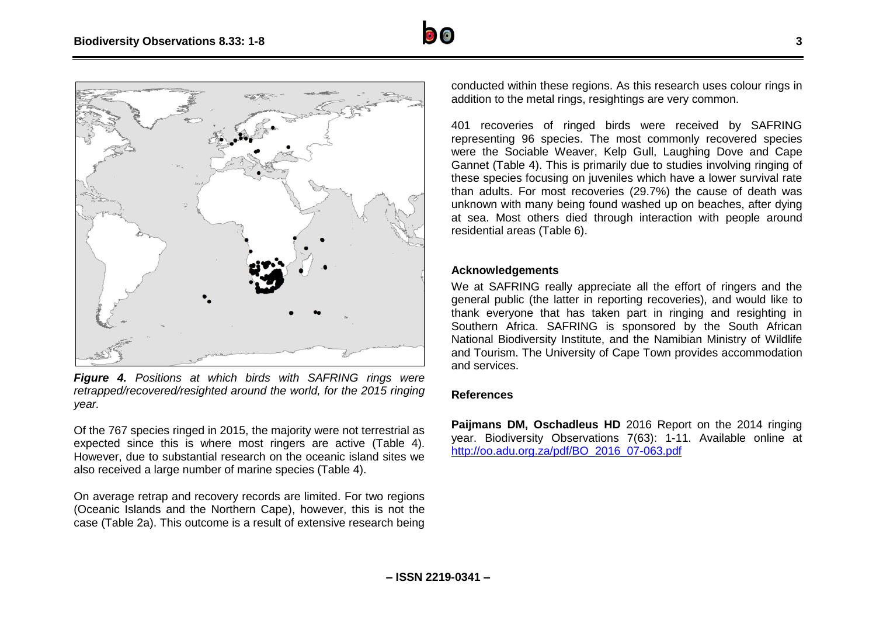



*Figure 4. Positions at which birds with SAFRING rings were retrapped/recovered/resighted around the world, for the 2015 ringing year.*

Of the 767 species ringed in 2015, the majority were not terrestrial as expected since this is where most ringers are active (Table 4). However, due to substantial research on the oceanic island sites we also received a large number of marine species (Table 4).

On average retrap and recovery records are limited. For two regions (Oceanic Islands and the Northern Cape), however, this is not the case (Table 2a). This outcome is a result of extensive research being

conducted within these regions. As this research uses colour rings in addition to the metal rings, resightings are very common.

401 recoveries of ringed birds were received by SAFRING representing 96 species. The most commonly recovered species were the Sociable Weaver, Kelp Gull, Laughing Dove and Cape Gannet (Table 4). This is primarily due to studies involving ringing of these species focusing on juveniles which have a lower survival rate than adults. For most recoveries (29.7%) the cause of death was unknown with many being found washed up on beaches, after dying at sea. Most others died through interaction with people around residential areas (Table 6).

#### **Acknowledgements**

We at SAFRING really appreciate all the effort of ringers and the general public (the latter in reporting recoveries), and would like to thank everyone that has taken part in ringing and resighting in Southern Africa. SAFRING is sponsored by the South African National Biodiversity Institute, and the Namibian Ministry of Wildlife and Tourism. The University of Cape Town provides accommodation and services.

#### **References**

**Paijmans DM, Oschadleus HD** 2016 Report on the 2014 ringing year. Biodiversity Observations 7(63): 1-11. Available online at [http://oo.adu.org.za/pdf/BO\\_2016\\_07-063.pdf](http://oo.adu.org.za/pdf/BO_2016_07-063.pdf)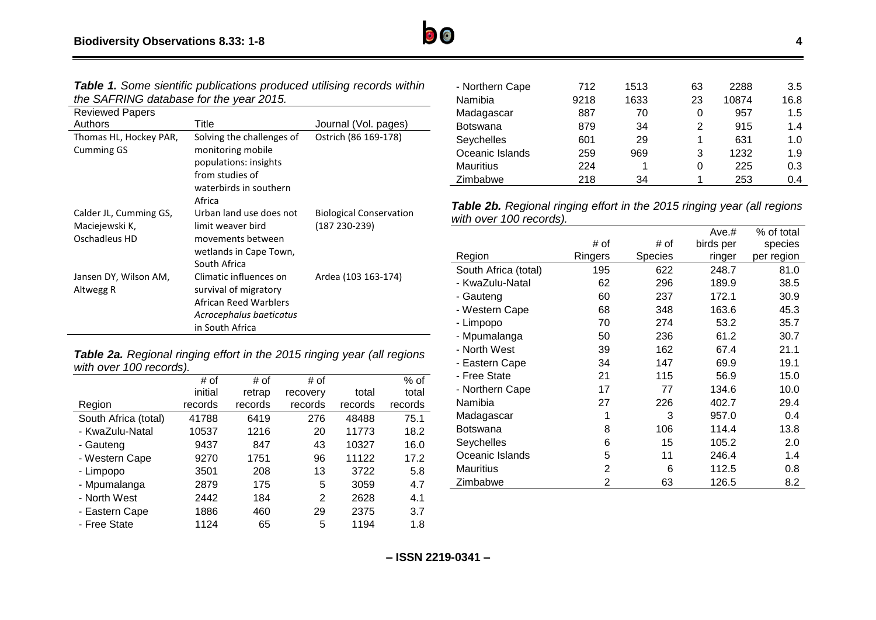

| <b>Reviewed Papers</b> |                           |                                |
|------------------------|---------------------------|--------------------------------|
| Authors                | Title                     | Journal (Vol. pages)           |
| Thomas HL, Hockey PAR, | Solving the challenges of | Ostrich (86 169-178)           |
| <b>Cumming GS</b>      | monitoring mobile         |                                |
|                        | populations: insights     |                                |
|                        | from studies of           |                                |
|                        | waterbirds in southern    |                                |
|                        | Africa                    |                                |
| Calder JL, Cumming GS, | Urban land use does not   | <b>Biological Conservation</b> |
| Maciejewski K,         | limit weaver bird         | (187 230-239)                  |
| Oschadleus HD          | movements between         |                                |
|                        | wetlands in Cape Town,    |                                |
|                        | South Africa              |                                |
| Jansen DY, Wilson AM,  | Climatic influences on    | Ardea (103 163-174)            |
| Altwegg R              | survival of migratory     |                                |
|                        | African Reed Warblers     |                                |
|                        | Acrocephalus baeticatus   |                                |
|                        | in South Africa           |                                |

*Table 2a. Regional ringing effort in the 2015 ringing year (all regions with over 100 records).*

|                      | # of    | # of    | # of     |         | $%$ of  |
|----------------------|---------|---------|----------|---------|---------|
|                      | initial | retrap  | recovery | total   | total   |
| Region               | records | records | records  | records | records |
| South Africa (total) | 41788   | 6419    | 276      | 48488   | 75.1    |
| - KwaZulu-Natal      | 10537   | 1216    | 20       | 11773   | 18.2    |
| - Gauteng            | 9437    | 847     | 43       | 10327   | 16.0    |
| - Western Cape       | 9270    | 1751    | 96       | 11122   | 17.2    |
| - Limpopo            | 3501    | 208     | 13       | 3722    | 5.8     |
| - Mpumalanga         | 2879    | 175     | 5        | 3059    | 4.7     |
| - North West         | 2442    | 184     | 2        | 2628    | 4.1     |
| - Eastern Cape       | 1886    | 460     | 29       | 2375    | 3.7     |
| - Free State         | 1124    | 65      | 5        | 1194    | 1.8     |

| - Northern Cape  | 712  | 1513 | 63 | 2288  | 3.5  |
|------------------|------|------|----|-------|------|
| Namibia          | 9218 | 1633 | 23 | 10874 | 16.8 |
| Madagascar       | 887  | 70   | 0  | 957   | 1.5  |
| <b>Botswana</b>  | 879  | 34   | 2  | 915   | 1.4  |
| Seychelles       | 601  | 29   | 1  | 631   | 1.0  |
| Oceanic Islands  | 259  | 969  | 3  | 1232  | 1.9  |
| <b>Mauritius</b> | 224  | 1    | 0  | 225   | 0.3  |
| Zimbabwe         | 218  | 34   |    | 253   | 0.4  |
|                  |      |      |    |       |      |

*Table 2b. Regional ringing effort in the 2015 ringing year (all regions with over 100 records).*

|                      |                |                | Ave.#     | % of total |
|----------------------|----------------|----------------|-----------|------------|
|                      | # of           | # of           | birds per | species    |
| Region               | Ringers        | <b>Species</b> | ringer    | per region |
| South Africa (total) | 195            | 622            | 248.7     | 81.0       |
| - KwaZulu-Natal      | 62             | 296            | 189.9     | 38.5       |
| - Gauteng            | 60             | 237            | 172.1     | 30.9       |
| - Western Cape       | 68             | 348            | 163.6     | 45.3       |
| - Limpopo            | 70             | 274            | 53.2      | 35.7       |
| - Mpumalanga         | 50             | 236            | 61.2      | 30.7       |
| - North West         | 39             | 162            | 67.4      | 21.1       |
| - Eastern Cape       | 34             | 147            | 69.9      | 19.1       |
| - Free State         | 21             | 115            | 56.9      | 15.0       |
| - Northern Cape      | 17             | 77             | 134.6     | 10.0       |
| Namibia              | 27             | 226            | 402.7     | 29.4       |
| Madagascar           | 1              | 3              | 957.0     | 0.4        |
| Botswana             | 8              | 106            | 114.4     | 13.8       |
| Seychelles           | 6              | 15             | 105.2     | 2.0        |
| Oceanic Islands      | 5              | 11             | 246.4     | 1.4        |
| <b>Mauritius</b>     | $\overline{2}$ | 6              | 112.5     | 0.8        |
| Zimbabwe             | 2              | 63             | 126.5     | 8.2        |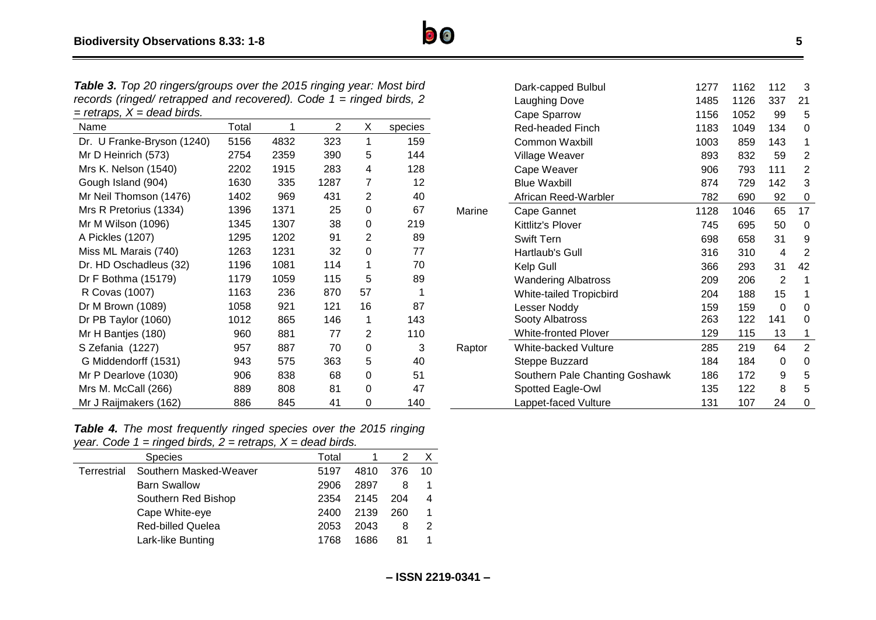*Table 3. Top 20 ringers/groups over the 2015 ringing year: Most bird records (ringed/ retrapped and recovered). Code 1 = ringed birds, 2 = retraps, X = dead birds.*

| Name                       | Total | 1    | $\overline{2}$ | X              | species |
|----------------------------|-------|------|----------------|----------------|---------|
| Dr. U Franke-Bryson (1240) | 5156  | 4832 | 323            | 1              | 159     |
| Mr D Heinrich (573)        | 2754  | 2359 | 390            | 5              | 144     |
| Mrs K. Nelson (1540)       | 2202  | 1915 | 283            | 4              | 128     |
| Gough Island (904)         | 1630  | 335  | 1287           | 7              | 12      |
| Mr Neil Thomson (1476)     | 1402  | 969  | 431            | $\overline{2}$ | 40      |
| Mrs R Pretorius (1334)     | 1396  | 1371 | 25             | 0              | 67      |
| Mr M Wilson (1096)         | 1345  | 1307 | 38             | 0              | 219     |
| A Pickles (1207)           | 1295  | 1202 | 91             | $\overline{2}$ | 89      |
| Miss ML Marais (740)       | 1263  | 1231 | 32             | 0              | 77      |
| Dr. HD Oschadleus (32)     | 1196  | 1081 | 114            | 1              | 70      |
| Dr F Bothma (15179)        | 1179  | 1059 | 115            | 5              | 89      |
| R Covas (1007)             | 1163  | 236  | 870            | 57             | 1       |
| Dr M Brown (1089)          | 1058  | 921  | 121            | 16             | 87      |
| Dr PB Taylor (1060)        | 1012  | 865  | 146            | 1              | 143     |
| Mr H Bantjes (180)         | 960   | 881  | 77             | 2              | 110     |
| S Zefania (1227)           | 957   | 887  | 70             | 0              | 3       |
| G Middendorff (1531)       | 943   | 575  | 363            | 5              | 40      |
| Mr P Dearlove (1030)       | 906   | 838  | 68             | 0              | 51      |
| Mrs M. McCall (266)        | 889   | 808  | 81             | 0              | 47      |
| Mr J Raijmakers (162)      | 886   | 845  | 41             | 0              | 140     |

|        | Dark-capped Bulbul             | 1277 | 1162 | 112 | 3              |
|--------|--------------------------------|------|------|-----|----------------|
|        | <b>Laughing Dove</b>           | 1485 | 1126 | 337 | 21             |
|        | Cape Sparrow                   | 1156 | 1052 | 99  | 5              |
|        | Red-headed Finch               | 1183 | 1049 | 134 | 0              |
|        | <b>Common Waxbill</b>          | 1003 | 859  | 143 | 1              |
|        | Village Weaver                 | 893  | 832  | 59  | 2              |
|        | Cape Weaver                    | 906  | 793  | 111 | 2              |
|        | <b>Blue Waxbill</b>            | 874  | 729  | 142 | 3              |
|        | African Reed-Warbler           | 782  | 690  | 92  | 0              |
| Marine | Cape Gannet                    | 1128 | 1046 | 65  | 17             |
|        | Kittlitz's Plover              | 745  | 695  | 50  | 0              |
|        | <b>Swift Tern</b>              | 698  | 658  | 31  | 9              |
|        | Hartlaub's Gull                | 316  | 310  | 4   | 2              |
|        | Kelp Gull                      | 366  | 293  | 31  | 42             |
|        | <b>Wandering Albatross</b>     | 209  | 206  | 2   | 1              |
|        | <b>White-tailed Tropicbird</b> | 204  | 188  | 15  | 1              |
|        | Lesser Noddy                   | 159  | 159  | 0   | 0              |
|        | Sooty Albatross                | 263  | 122  | 141 | 0              |
|        | <b>White-fronted Plover</b>    | 129  | 115  | 13  | 1              |
| Raptor | White-backed Vulture           | 285  | 219  | 64  | $\overline{2}$ |
|        | Steppe Buzzard                 | 184  | 184  | 0   | 0              |
|        | Southern Pale Chanting Goshawk | 186  | 172  | 9   | 5              |
|        | Spotted Eagle-Owl              | 135  | 122  | 8   | 5              |
|        | Lappet-faced Vulture           | 131  | 107  | 24  | 0              |

*Table 4. The most frequently ringed species over the 2015 ringing year. Code 1 = ringed birds, 2 = retraps, X = dead birds.*

|             | <b>Species</b>           | Total |      |     |    |
|-------------|--------------------------|-------|------|-----|----|
| Terrestrial | Southern Masked-Weaver   | 5197  | 4810 | 376 | 10 |
|             | <b>Barn Swallow</b>      | 2906  | 2897 | 8   |    |
|             | Southern Red Bishop      | 2354  | 2145 | 204 | 4  |
|             | Cape White-eye           | 2400  | 2139 | 260 |    |
|             | <b>Red-billed Quelea</b> | 2053  | 2043 | 8   |    |
|             | Lark-like Bunting        | 1768  | 1686 | 81  |    |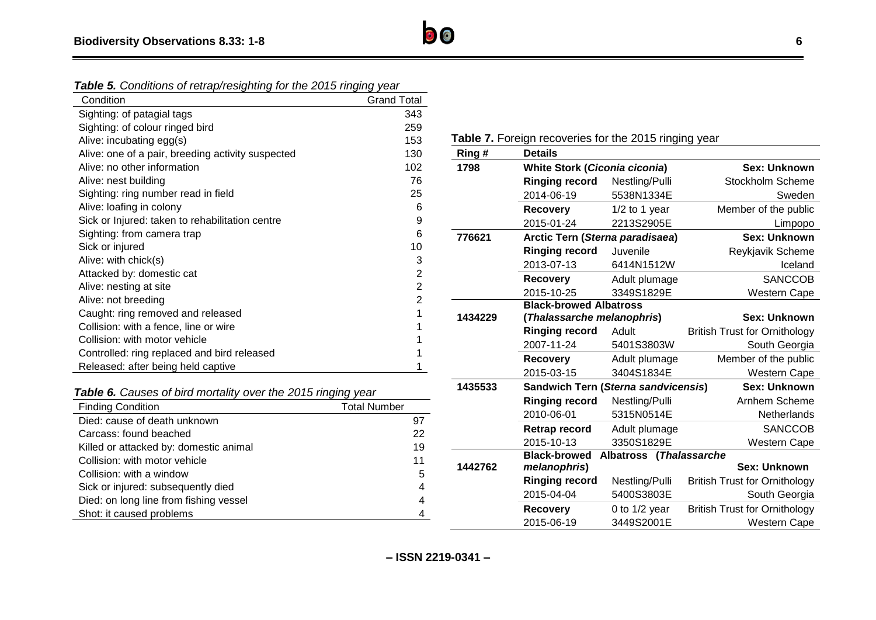*Table 5. Conditions of retrap/resighting for the 2015 ringing year*

| Condition                                         | <b>Grand Total</b> |
|---------------------------------------------------|--------------------|
| Sighting: of patagial tags                        | 343                |
| Sighting: of colour ringed bird                   | 259                |
| Alive: incubating egg(s)                          | 153                |
| Alive: one of a pair, breeding activity suspected | 130                |
| Alive: no other information                       | 102                |
| Alive: nest building                              | 76                 |
| Sighting: ring number read in field               | 25                 |
| Alive: loafing in colony                          | 6                  |
| Sick or Injured: taken to rehabilitation centre   | 9                  |
| Sighting: from camera trap                        | 6                  |
| Sick or injured                                   | 10                 |
| Alive: with chick(s)                              | 3                  |
| Attacked by: domestic cat                         | 2                  |
| Alive: nesting at site                            | 2                  |
| Alive: not breeding                               | 2                  |
| Caught: ring removed and released                 |                    |
| Collision: with a fence, line or wire             |                    |
| Collision: with motor vehicle                     |                    |
| Controlled: ring replaced and bird released       |                    |
| Released: after being held captive                |                    |

*Table 6. Causes of bird mortality over the 2015 ringing year*

| <b>Finding Condition</b>               | <b>Total Number</b> |
|----------------------------------------|---------------------|
| Died: cause of death unknown           | 97                  |
| Carcass: found beached                 | 22                  |
| Killed or attacked by: domestic animal | 19                  |
| Collision: with motor vehicle          | 11                  |
| Collision: with a window               | 5                   |
| Sick or injured: subsequently died     | 4                   |
| Died: on long line from fishing vessel | 4                   |
| Shot: it caused problems               |                     |

Table 7. Foreign recoveries for the 2015 ringing year

| Ring#   | <b>Details</b>                       |                         |                                      |
|---------|--------------------------------------|-------------------------|--------------------------------------|
| 1798    | <b>White Stork (Ciconia ciconia)</b> |                         | Sex: Unknown                         |
|         | <b>Ringing record</b>                | Nestling/Pulli          | Stockholm Scheme                     |
|         | 2014-06-19                           | 5538N1334E              | Sweden                               |
|         | <b>Recovery</b>                      | 1/2 to 1 year           | Member of the public                 |
|         | 2015-01-24                           | 2213S2905E              | Limpopo                              |
| 776621  | Arctic Tern (Sterna paradisaea)      |                         | Sex: Unknown                         |
|         | <b>Ringing record</b>                | Juvenile                | Reykjavik Scheme                     |
|         | 2013-07-13                           | 6414N1512W              | Iceland                              |
|         | <b>Recovery</b>                      | Adult plumage           | <b>SANCCOB</b>                       |
|         | 2015-10-25                           | 3349S1829E              | Western Cape                         |
|         | <b>Black-browed Albatross</b>        |                         |                                      |
| 1434229 | (Thalassarche melanophris)           |                         | Sex: Unknown                         |
|         | <b>Ringing record</b>                | Adult                   | <b>British Trust for Ornithology</b> |
|         | 2007-11-24                           | 5401S3803W              | South Georgia                        |
|         | <b>Recovery</b>                      | Adult plumage           | Member of the public                 |
|         | 2015-03-15                           | 3404S1834E              | Western Cape                         |
| 1435533 | Sandwich Tern (Sterna sandvicensis)  |                         | Sex: Unknown                         |
|         | <b>Ringing record</b>                | Nestling/Pulli          | Arnhem Scheme                        |
|         | 2010-06-01                           | 5315N0514E              | Netherlands                          |
|         | Retrap record                        | Adult plumage           | <b>SANCCOB</b>                       |
|         | 2015-10-13                           | 3350S1829E              | <b>Western Cape</b>                  |
|         | <b>Black-browed</b>                  | Albatross (Thalassarche |                                      |
| 1442762 | melanophris)                         |                         | Sex: Unknown                         |
|         | <b>Ringing record</b>                | Nestling/Pulli          | <b>British Trust for Ornithology</b> |
|         | 2015-04-04                           | 5400S3803E              | South Georgia                        |
|         | <b>Recovery</b>                      | 0 to $1/2$ year         | <b>British Trust for Ornithology</b> |
|         | 2015-06-19                           | 3449S2001E              | <b>Western Cape</b>                  |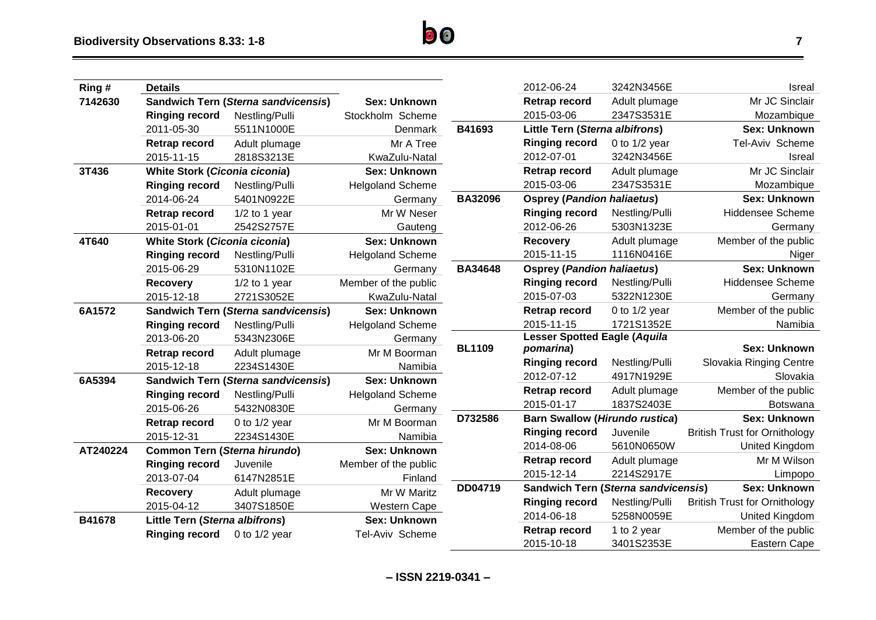| Ring#    | <b>Details</b>                       |                                            |                         |                | 2012-06-24                                 | 3242N3456E      | <b>Isrea</b>                         |
|----------|--------------------------------------|--------------------------------------------|-------------------------|----------------|--------------------------------------------|-----------------|--------------------------------------|
| 7142630  |                                      | <b>Sandwich Tern (Sterna sandvicensis)</b> | <b>Sex: Unknown</b>     |                | Retrap record                              | Adult plumage   | Mr JC Sinclair                       |
|          | <b>Ringing record</b>                | Nestling/Pulli                             | Stockholm Scheme        |                | 2015-03-06                                 | 2347S3531E      | Mozambique                           |
|          | 2011-05-30                           | 5511N1000E                                 | Denmark                 | B41693         | Little Tern (Sterna albifrons)             |                 | <b>Sex: Unknown</b>                  |
|          | Retrap record                        | Adult plumage                              | Mr A Tree               |                | <b>Ringing record</b>                      | 0 to $1/2$ year | Tel-Aviv Scheme                      |
|          | 2015-11-15                           | 2818S3213E                                 | KwaZulu-Natal           |                | 2012-07-01                                 | 3242N3456E      | Isreal                               |
| 3T436    | <b>White Stork (Ciconia ciconia)</b> |                                            | <b>Sex: Unknown</b>     |                | Retrap record                              | Adult plumage   | Mr JC Sinclair                       |
|          | <b>Ringing record</b>                | Nestling/Pulli                             | <b>Helgoland Scheme</b> |                | 2015-03-06                                 | 2347S3531E      | Mozambique                           |
|          | 2014-06-24                           | 5401N0922E                                 | Germany                 | <b>BA32096</b> | <b>Osprey (Pandion haliaetus)</b>          |                 | <b>Sex: Unknown</b>                  |
|          | Retrap record                        | $1/2$ to 1 year                            | Mr W Neser              |                | <b>Ringing record</b>                      | Nestling/Pulli  | Hiddensee Scheme                     |
|          | 2015-01-01                           | 2542S2757E                                 | Gauteng                 |                | 2012-06-26                                 | 5303N1323E      | Germany                              |
| 4T640    | <b>White Stork (Ciconia ciconia)</b> |                                            | <b>Sex: Unknown</b>     |                | <b>Recovery</b>                            | Adult plumage   | Member of the public                 |
|          | <b>Ringing record</b>                | Nestling/Pulli                             | <b>Helgoland Scheme</b> |                | 2015-11-15                                 | 1116N0416E      | Niger                                |
|          | 2015-06-29                           | 5310N1102E                                 | Germany                 | <b>BA34648</b> | <b>Osprey (Pandion haliaetus)</b>          |                 | <b>Sex: Unknown</b>                  |
|          | <b>Recovery</b>                      | $1/2$ to 1 year                            | Member of the public    |                | <b>Ringing record</b>                      | Nestling/Pulli  | <b>Hiddensee Scheme</b>              |
|          | 2015-12-18                           | 2721S3052E                                 | KwaZulu-Natal           |                | 2015-07-03                                 | 5322N1230E      | Germany                              |
| 6A1572   |                                      | <b>Sandwich Tern (Sterna sandvicensis)</b> | <b>Sex: Unknown</b>     |                | Retrap record                              | 0 to $1/2$ year | Member of the public                 |
|          | <b>Ringing record</b>                | Nestling/Pulli                             | <b>Helgoland Scheme</b> |                | 2015-11-15                                 | 1721S1352E      | Namibia                              |
|          | 2013-06-20                           | 5343N2306E                                 | Germany                 |                | <b>Lesser Spotted Eagle (Aquila</b>        |                 |                                      |
|          | <b>Retrap record</b>                 | Adult plumage                              | Mr M Boorman            | <b>BL1109</b>  | pomarina)                                  |                 | <b>Sex: Unknown</b>                  |
|          | 2015-12-18                           | 2234S1430E                                 | Namibia                 |                | <b>Ringing record</b>                      | Nestling/Pulli  | Slovakia Ringing Centre              |
| 6A5394   |                                      | <b>Sandwich Tern (Sterna sandvicensis)</b> | <b>Sex: Unknown</b>     |                | 2012-07-12                                 | 4917N1929E      | Slovakia                             |
|          | <b>Ringing record</b>                | Nestling/Pulli                             | <b>Helgoland Scheme</b> |                | Retrap record                              | Adult plumage   | Member of the public                 |
|          | 2015-06-26                           | 5432N0830E                                 | Germany                 |                | 2015-01-17                                 | 1837S2403E      | Botswana                             |
|          | Retrap record                        | 0 to $1/2$ year                            | Mr M Boorman            | D732586        | <b>Barn Swallow (Hirundo rustica)</b>      |                 | <b>Sex: Unknown</b>                  |
|          | 2015-12-31                           | 2234S1430E                                 | Namibia                 |                | <b>Ringing record</b>                      | Juvenile        | <b>British Trust for Ornithology</b> |
| AT240224 | <b>Common Tern (Sterna hirundo)</b>  |                                            | <b>Sex: Unknown</b>     |                | 2014-08-06                                 | 5610N0650W      | <b>United Kingdom</b>                |
|          | <b>Ringing record</b>                | Juvenile                                   | Member of the public    |                | Retrap record                              | Adult plumage   | Mr M Wilson                          |
|          | 2013-07-04                           | 6147N2851E                                 | Finland                 |                | 2015-12-14                                 | 2214S2917E      | Limpopo                              |
|          | Recovery                             | Adult plumage                              | Mr W Maritz             | DD04719        | <b>Sandwich Tern (Sterna sandvicensis)</b> |                 | <b>Sex: Unknown</b>                  |
|          | 2015-04-12                           | 3407S1850E                                 | Western Cape            |                | <b>Ringing record</b>                      | Nestling/Pulli  | <b>British Trust for Ornithology</b> |
| B41678   | Little Tern (Sterna albifrons)       |                                            | <b>Sex: Unknown</b>     |                | 2014-06-18                                 | 5258N0059E      | <b>United Kingdom</b>                |
|          | <b>Ringing record</b>                | 0 to $1/2$ year                            | Tel-Aviv Scheme         |                | Retrap record                              | 1 to 2 year     | Member of the public                 |
|          |                                      |                                            |                         |                | 2015-10-18                                 | 3401S2353E      | Eastern Cape                         |